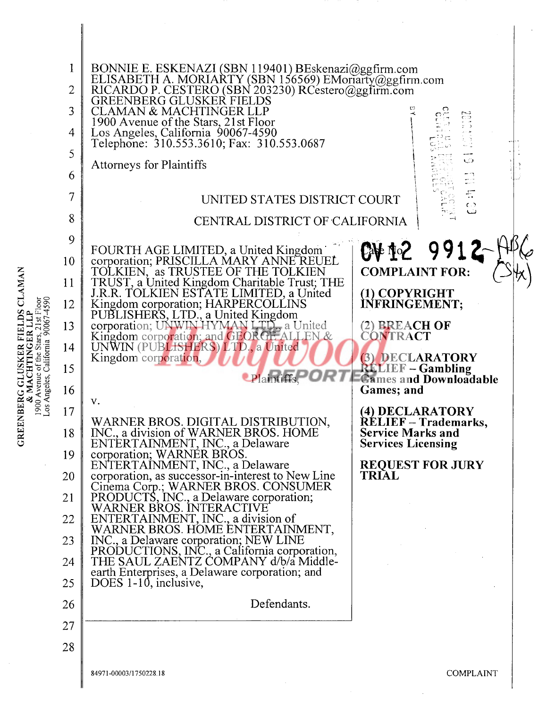$\frac{12}{12}$   $\frac{12}{12}$ 

z

z

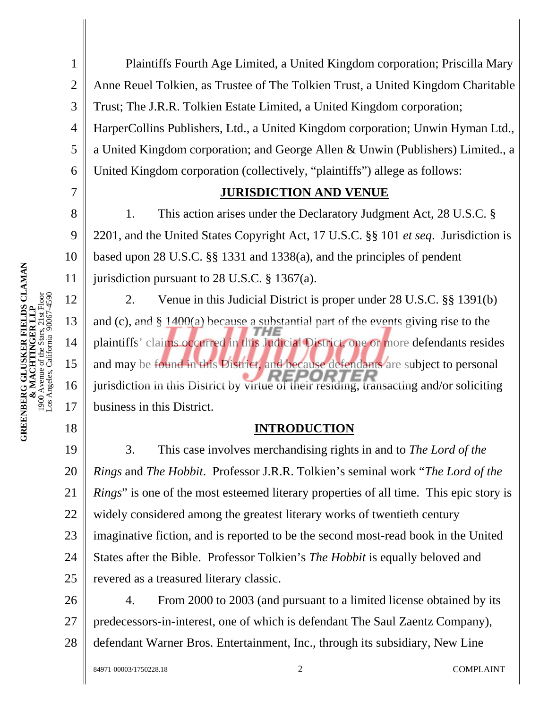8 9 10 **GREENBERG GLUSKER FIELDS CLAMAN**<br>**& MACHTINGER LLP**<br>1900 Avenue of the Stars, 21st Floor<br>Los Angeles, California 90067-4590 **GREENBERG GLUSKER FIELDS CLAMAN**  11 1900 Avenue of the Stars, 21st Floor Los Angeles, California 90067-4590 12 **& MACHTINGER LLP**  13 14 15 16 17 18

7

1 2 3 4 5 6 Plaintiffs Fourth Age Limited, a United Kingdom corporation; Priscilla Mary Anne Reuel Tolkien, as Trustee of The Tolkien Trust, a United Kingdom Charitable Trust; The J.R.R. Tolkien Estate Limited, a United Kingdom corporation; HarperCollins Publishers, Ltd., a United Kingdom corporation; Unwin Hyman Ltd., a United Kingdom corporation; and George Allen & Unwin (Publishers) Limited., a United Kingdom corporation (collectively, "plaintiffs") allege as follows:

### **JURISDICTION AND VENUE**

1. This action arises under the Declaratory Judgment Act, 28 U.S.C. § 2201, and the United States Copyright Act, 17 U.S.C. §§ 101 *et seq*. Jurisdiction is based upon 28 U.S.C. §§ 1331 and 1338(a), and the principles of pendent jurisdiction pursuant to 28 U.S.C. § 1367(a).

2. Venue in this Judicial District is proper under 28 U.S.C. §§ 1391(b) and (c), and § 1400(a) because a substantial part of the events giving rise to the plaintiffs' claims occurred in this Judicial District, one or more defendants resides and may be found in this District, and because defendants are subject to personal jurisdiction in this District by virtue of their residing, transacting and/or soliciting business in this District.

#### **INTRODUCTION**

19 20 21 22 23 24 25 3. This case involves merchandising rights in and to *The Lord of the Rings* and *The Hobbit*. Professor J.R.R. Tolkien's seminal work "*The Lord of the Rings*" is one of the most esteemed literary properties of all time. This epic story is widely considered among the greatest literary works of twentieth century imaginative fiction, and is reported to be the second most-read book in the United States after the Bible. Professor Tolkien's *The Hobbit* is equally beloved and revered as a treasured literary classic.

26 27 28 4. From 2000 to 2003 (and pursuant to a limited license obtained by its predecessors-in-interest, one of which is defendant The Saul Zaentz Company), defendant Warner Bros. Entertainment, Inc., through its subsidiary, New Line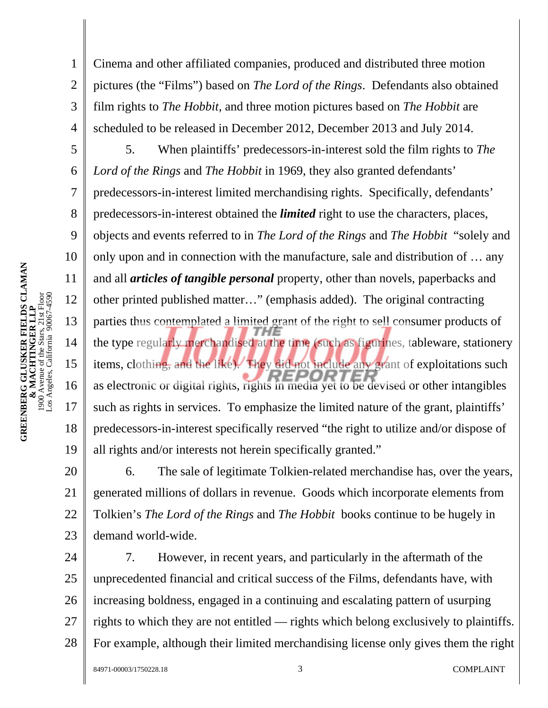1

2

3

4

5

6

7

8

9

10

11

12

13

14

15

16

17

18

19

Cinema and other affiliated companies, produced and distributed three motion pictures (the "Films") based on *The Lord of the Rings*. Defendants also obtained film rights to *The Hobbit*, and three motion pictures based on *The Hobbit* are scheduled to be released in December 2012, December 2013 and July 2014.

5. When plaintiffs' predecessors-in-interest sold the film rights to *The Lord of the Rings* and *The Hobbit* in 1969, they also granted defendants' predecessors-in-interest limited merchandising rights. Specifically, defendants' predecessors-in-interest obtained the *limited* right to use the characters, places, objects and events referred to in *The Lord of the Rings* and *The Hobbit* "solely and only upon and in connection with the manufacture, sale and distribution of … any and all *articles of tangible personal* property, other than novels, paperbacks and other printed published matter…" (emphasis added). The original contracting parties thus contemplated a limited grant of the right to sell consumer products of the type regularly merchandised at the time (such as figurines, tableware, stationery items, clothing, and the like). They did not include any grant of exploitations such *PEPOP* as electronic or digital rights, rights in media yet to be devised or other intangibles such as rights in services. To emphasize the limited nature of the grant, plaintiffs' predecessors-in-interest specifically reserved "the right to utilize and/or dispose of all rights and/or interests not herein specifically granted."

20 21 22 23 6. The sale of legitimate Tolkien-related merchandise has, over the years, generated millions of dollars in revenue. Goods which incorporate elements from Tolkien's *The Lord of the Rings* and *The Hobbit* books continue to be hugely in demand world-wide.

24 25 26 27 28 7. However, in recent years, and particularly in the aftermath of the unprecedented financial and critical success of the Films, defendants have, with increasing boldness, engaged in a continuing and escalating pattern of usurping rights to which they are not entitled — rights which belong exclusively to plaintiffs. For example, although their limited merchandising license only gives them the right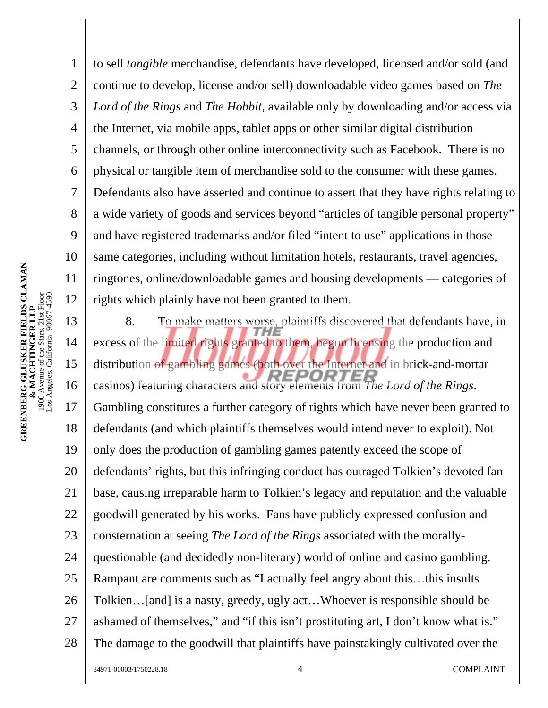4 10 to sell *tangible* merchandise, defendants have developed, licensed and/or sold (and continue to develop, license and/or sell) downloadable video games based on *The Lord of the Rings* and *The Hobbit*, available only by downloading and/or access via the Internet, via mobile apps, tablet apps or other similar digital distribution channels, or through other online interconnectivity such as Facebook. There is no physical or tangible item of merchandise sold to the consumer with these games. Defendants also have asserted and continue to assert that they have rights relating to a wide variety of goods and services beyond "articles of tangible personal property" and have registered trademarks and/or filed "intent to use" applications in those same categories, including without limitation hotels, restaurants, travel agencies, ringtones, online/downloadable games and housing developments — categories of rights which plainly have not been granted to them.

13 14 15 16 17 18 19 20 21 22 23 24 25 26 27 28 8. To make matters worse, plaintiffs discovered that defendants have, in excess of the limited rights granted to them, begun licensing the production and distribution of gambling games (both over the Internet and in brick-and-mortar casinos) featuring characters and story elements from *The Lord of the Rings*. Gambling constitutes a further category of rights which have never been granted to defendants (and which plaintiffs themselves would intend never to exploit). Not only does the production of gambling games patently exceed the scope of defendants' rights, but this infringing conduct has outraged Tolkien's devoted fan base, causing irreparable harm to Tolkien's legacy and reputation and the valuable goodwill generated by his works. Fans have publicly expressed confusion and consternation at seeing *The Lord of the Rings* associated with the morallyquestionable (and decidedly non-literary) world of online and casino gambling. Rampant are comments such as "I actually feel angry about this…this insults Tolkien…[and] is a nasty, greedy, ugly act…Whoever is responsible should be ashamed of themselves," and "if this isn't prostituting art, I don't know what is." The damage to the goodwill that plaintiffs have painstakingly cultivated over the

1

2

3

5

6

7

8

9

11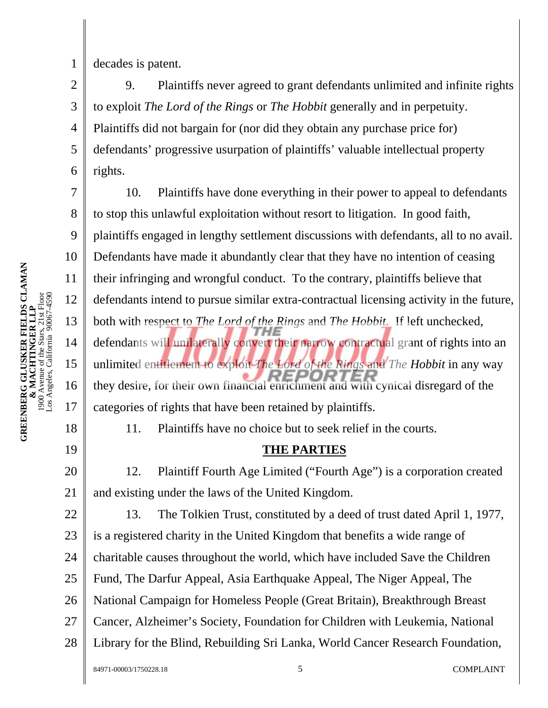decades is patent.

1

2

3

5

6

4 9. Plaintiffs never agreed to grant defendants unlimited and infinite rights to exploit *The Lord of the Rings* or *The Hobbit* generally and in perpetuity. Plaintiffs did not bargain for (nor did they obtain any purchase price for) defendants' progressive usurpation of plaintiffs' valuable intellectual property rights.

7 8 9 10 11 12 13 14 15 16 17 10. Plaintiffs have done everything in their power to appeal to defendants to stop this unlawful exploitation without resort to litigation. In good faith, plaintiffs engaged in lengthy settlement discussions with defendants, all to no avail. Defendants have made it abundantly clear that they have no intention of ceasing their infringing and wrongful conduct. To the contrary, plaintiffs believe that defendants intend to pursue similar extra-contractual licensing activity in the future, both with respect to *The Lord of the Rings* and *The Hobbit.* If left unchecked, defendants will unilaterally convert their narrow contractual grant of rights into an unlimited entitlement to exploit *The Lord of the Rings* and *The Hobbit* in any way they desire, for their own financial enrichment and with cynical disregard of the categories of rights that have been retained by plaintiffs.

18

19

11. Plaintiffs have no choice but to seek relief in the courts.

### **THE PARTIES**

20 21 12. Plaintiff Fourth Age Limited ("Fourth Age") is a corporation created and existing under the laws of the United Kingdom.

22 23 24 25 26 27 28 13. The Tolkien Trust, constituted by a deed of trust dated April 1, 1977, is a registered charity in the United Kingdom that benefits a wide range of charitable causes throughout the world, which have included Save the Children Fund, The Darfur Appeal, Asia Earthquake Appeal, The Niger Appeal, The National Campaign for Homeless People (Great Britain), Breakthrough Breast Cancer, Alzheimer's Society, Foundation for Children with Leukemia, National Library for the Blind, Rebuilding Sri Lanka, World Cancer Research Foundation,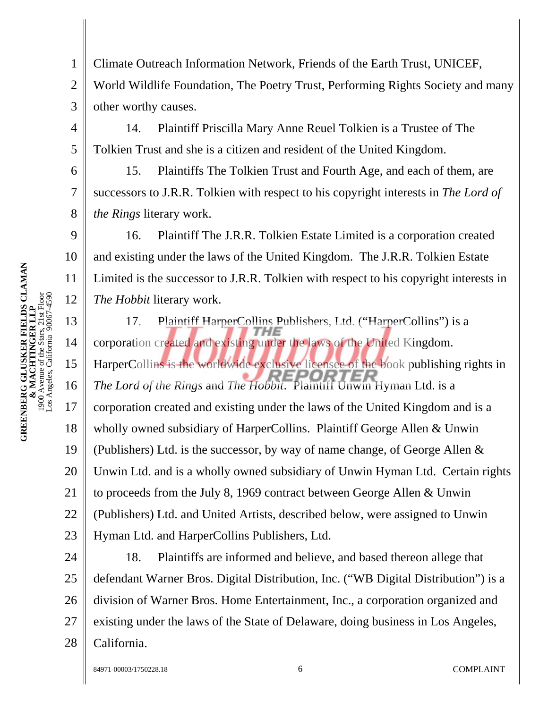**GREENBERG GLUSKER FIELDS CLAMAN**<br>**& MACHTINGER LLP**<br>1900 Avenue of the Stars, 21st Floor<br>Los Angeles, California 90067-4590 **GREENBERG GLUSKER FIELDS CLAMAN**  1900 Avenue of the Stars, 21st Floor Los Angeles, California 90067-4590 **& MACHTINGER LLP** 

1

4

5

6

7

8

9

10

11

12

2 3 Climate Outreach Information Network, Friends of the Earth Trust, UNICEF, World Wildlife Foundation, The Poetry Trust, Performing Rights Society and many other worthy causes.

14. Plaintiff Priscilla Mary Anne Reuel Tolkien is a Trustee of The Tolkien Trust and she is a citizen and resident of the United Kingdom.

15. Plaintiffs The Tolkien Trust and Fourth Age, and each of them, are successors to J.R.R. Tolkien with respect to his copyright interests in *The Lord of the Rings* literary work.

16. Plaintiff The J.R.R. Tolkien Estate Limited is a corporation created and existing under the laws of the United Kingdom. The J.R.R. Tolkien Estate Limited is the successor to J.R.R. Tolkien with respect to his copyright interests in *The Hobbit* literary work.

13 14 15 16 17 18 19 20 21 22 23 17. Plaintiff HarperCollins Publishers, Ltd. ("HarperCollins") is a corporation created and existing under the laws of the United Kingdom. HarperCollins is the worldwide exclusive licensee of the book publishing rights in *The Lord of the Rings* and *The Hobbit*. Plaintiff Unwin Hyman Ltd. is a corporation created and existing under the laws of the United Kingdom and is a wholly owned subsidiary of HarperCollins. Plaintiff George Allen & Unwin (Publishers) Ltd. is the successor, by way of name change, of George Allen & Unwin Ltd. and is a wholly owned subsidiary of Unwin Hyman Ltd. Certain rights to proceeds from the July 8, 1969 contract between George Allen & Unwin (Publishers) Ltd. and United Artists, described below, were assigned to Unwin Hyman Ltd. and HarperCollins Publishers, Ltd.

24 25 26 27 28 18. Plaintiffs are informed and believe, and based thereon allege that defendant Warner Bros. Digital Distribution, Inc. ("WB Digital Distribution") is a division of Warner Bros. Home Entertainment, Inc., a corporation organized and existing under the laws of the State of Delaware, doing business in Los Angeles, California.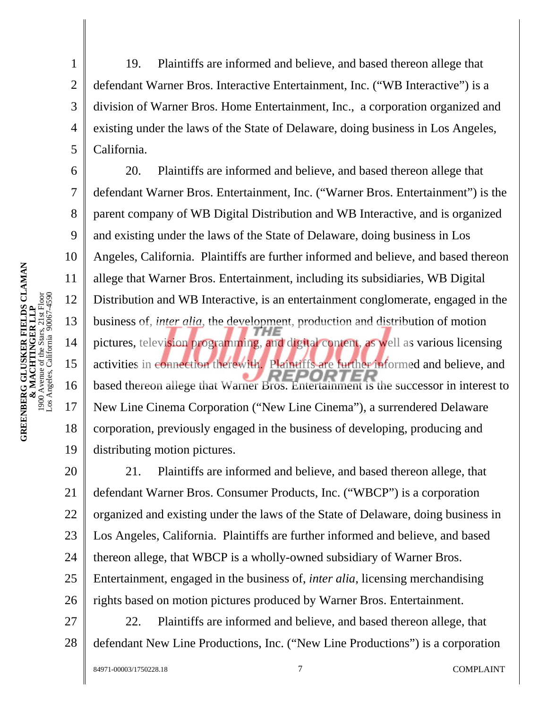**GREENBERG GLUSKER FIELDS CLAMAN**<br>**& MACHTINGER LLP**<br>1900 Avenue of the Stars, 21st Floor<br>Los Angeles, California 90067-4590 **GREENBERG GLUSKER FIELDS CLAMAN**  1900 Avenue of the Stars, 21st Floor Los Angeles, California 90067-4590 **& MACHTINGER LLP** 

1

2

3

4

5

6

7

8

9

10

11

12

13

14

15

16

17

18

19

19. Plaintiffs are informed and believe, and based thereon allege that defendant Warner Bros. Interactive Entertainment, Inc. ("WB Interactive") is a division of Warner Bros. Home Entertainment, Inc., a corporation organized and existing under the laws of the State of Delaware, doing business in Los Angeles, California.

20. Plaintiffs are informed and believe, and based thereon allege that defendant Warner Bros. Entertainment, Inc. ("Warner Bros. Entertainment") is the parent company of WB Digital Distribution and WB Interactive, and is organized and existing under the laws of the State of Delaware, doing business in Los Angeles, California. Plaintiffs are further informed and believe, and based thereon allege that Warner Bros. Entertainment, including its subsidiaries, WB Digital Distribution and WB Interactive, is an entertainment conglomerate, engaged in the business of, *inter alia*, the development, production and distribution of motion pictures, television programming, and digital content, as well as various licensing activities in connection therewith. Plaintiffs are further informed and believe, and ם אל based thereon allege that Warner Bros. Entertainment is the successor in interest to New Line Cinema Corporation ("New Line Cinema"), a surrendered Delaware corporation, previously engaged in the business of developing, producing and distributing motion pictures.

20 21 22 23 24 25 26 21. Plaintiffs are informed and believe, and based thereon allege, that defendant Warner Bros. Consumer Products, Inc. ("WBCP") is a corporation organized and existing under the laws of the State of Delaware, doing business in Los Angeles, California. Plaintiffs are further informed and believe, and based thereon allege, that WBCP is a wholly-owned subsidiary of Warner Bros. Entertainment, engaged in the business of, *inter alia*, licensing merchandising rights based on motion pictures produced by Warner Bros. Entertainment.

27 28 22. Plaintiffs are informed and believe, and based thereon allege, that defendant New Line Productions, Inc. ("New Line Productions") is a corporation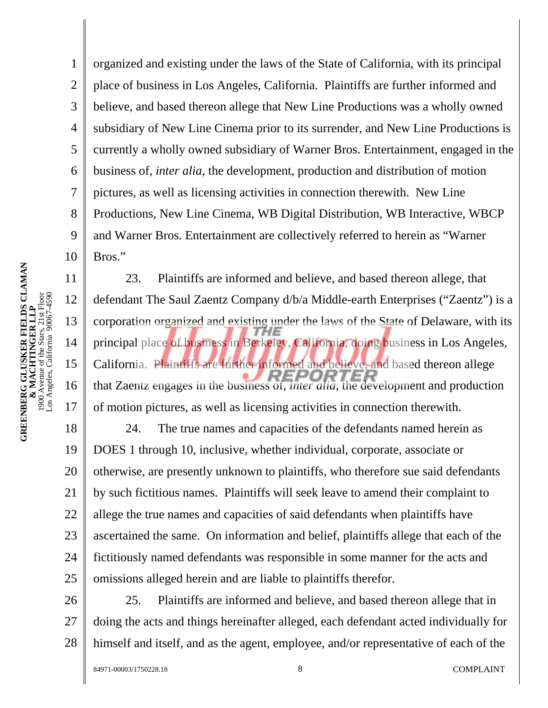1 2 3 4 5 6 7 8 9 10 11 organized and existing under the laws of the State of California, with its principal place of business in Los Angeles, California. Plaintiffs are further informed and believe, and based thereon allege that New Line Productions was a wholly owned subsidiary of New Line Cinema prior to its surrender, and New Line Productions is currently a wholly owned subsidiary of Warner Bros. Entertainment, engaged in the business of, *inter alia*, the development, production and distribution of motion pictures, as well as licensing activities in connection therewith. New Line Productions, New Line Cinema, WB Digital Distribution, WB Interactive, WBCP and Warner Bros. Entertainment are collectively referred to herein as "Warner Bros."

23. Plaintiffs are informed and believe, and based thereon allege, that defendant The Saul Zaentz Company d/b/a Middle-earth Enterprises ("Zaentz") is a corporation organized and existing under the laws of the State of Delaware, with its principal place of business in Berkeley, California, doing business in Los Angeles, California. Plaintiffs are further informed and believe, and based thereon allege that Zaentz engages in the business of, *inter alia*, the development and production of motion pictures, as well as licensing activities in connection therewith.

18 19 20 21 22 23 24 25 24. The true names and capacities of the defendants named herein as DOES 1 through 10, inclusive, whether individual, corporate, associate or otherwise, are presently unknown to plaintiffs, who therefore sue said defendants by such fictitious names. Plaintiffs will seek leave to amend their complaint to allege the true names and capacities of said defendants when plaintiffs have ascertained the same. On information and belief, plaintiffs allege that each of the fictitiously named defendants was responsible in some manner for the acts and omissions alleged herein and are liable to plaintiffs therefor.

26 27 28 25. Plaintiffs are informed and believe, and based thereon allege that in doing the acts and things hereinafter alleged, each defendant acted individually for himself and itself, and as the agent, employee, and/or representative of each of the

12

13

14

15

16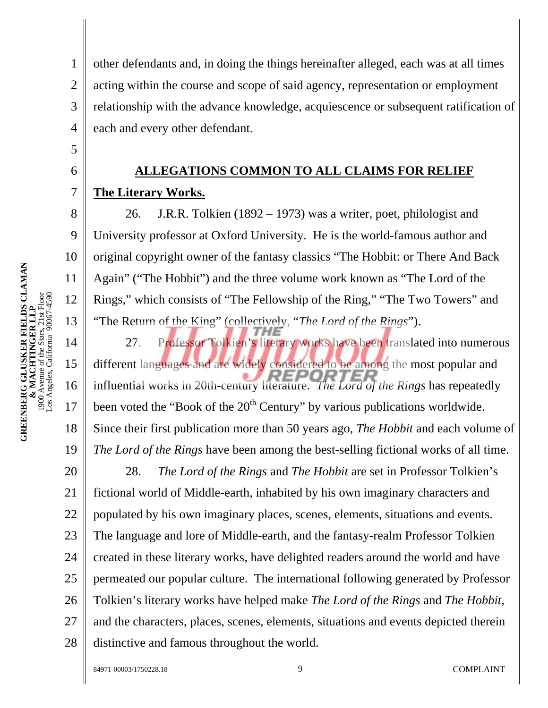1 2 3 4 other defendants and, in doing the things hereinafter alleged, each was at all times acting within the course and scope of said agency, representation or employment relationship with the advance knowledge, acquiescence or subsequent ratification of each and every other defendant.

# **ALLEGATIONS COMMON TO ALL CLAIMS FOR RELIEF The Literary Works.**

26. J.R.R. Tolkien (1892 – 1973) was a writer, poet, philologist and University professor at Oxford University. He is the world-famous author and original copyright owner of the fantasy classics "The Hobbit: or There And Back Again" ("The Hobbit") and the three volume work known as "The Lord of the Rings," which consists of "The Fellowship of the Ring," "The Two Towers" and "The Return of the King" (collectively, "*The Lord of the Rings*").

14 15 16 17 18 19 20 21 22 23 24 25 26 27 28 27. Professor Tolkien's literary works have been translated into numerous different languages and are widely considered to be among the most popular and influential works in 20th-century literature. *The Lord of the Rings* has repeatedly been voted the "Book of the 20<sup>th</sup> Century" by various publications worldwide. Since their first publication more than 50 years ago, *The Hobbit* and each volume of *The Lord of the Rings* have been among the best-selling fictional works of all time. 28. *The Lord of the Rings* and *The Hobbit* are set in Professor Tolkien's fictional world of Middle-earth, inhabited by his own imaginary characters and populated by his own imaginary places, scenes, elements, situations and events. The language and lore of Middle-earth, and the fantasy-realm Professor Tolkien created in these literary works, have delighted readers around the world and have permeated our popular culture. The international following generated by Professor Tolkien's literary works have helped make *The Lord of the Rings* and *The Hobbit*, and the characters, places, scenes, elements, situations and events depicted therein distinctive and famous throughout the world.

5

6

7

8

9

10

11

12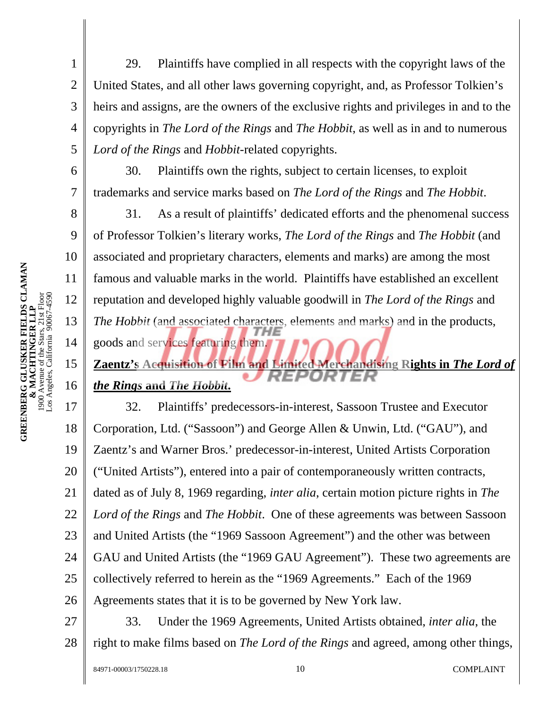1

2

3

4

5

6

7

8

9

10

11

12

13

14

15

16

29. Plaintiffs have complied in all respects with the copyright laws of the United States, and all other laws governing copyright, and, as Professor Tolkien's heirs and assigns, are the owners of the exclusive rights and privileges in and to the copyrights in *The Lord of the Rings* and *The Hobbit*, as well as in and to numerous *Lord of the Rings* and *Hobbit*-related copyrights.

30. Plaintiffs own the rights, subject to certain licenses, to exploit trademarks and service marks based on *The Lord of the Rings* and *The Hobbit*.

31. As a result of plaintiffs' dedicated efforts and the phenomenal success of Professor Tolkien's literary works, *The Lord of the Rings* and *The Hobbit* (and associated and proprietary characters, elements and marks) are among the most famous and valuable marks in the world. Plaintiffs have established an excellent reputation and developed highly valuable goodwill in *The Lord of the Rings* and *The Hobbit* (and associated characters, elements and marks) and in the products, goods and services featuring them.

# **Zaentz's Acquisition of Film and Limited Merchandising Rights in** *The Lord of the Rings* **and** *The Hobbit***.**

17 18 19 20 21 22 23 24 25 26 32. Plaintiffs' predecessors-in-interest, Sassoon Trustee and Executor Corporation, Ltd. ("Sassoon") and George Allen & Unwin, Ltd. ("GAU"), and Zaentz's and Warner Bros.' predecessor-in-interest, United Artists Corporation ("United Artists"), entered into a pair of contemporaneously written contracts, dated as of July 8, 1969 regarding, *inter alia*, certain motion picture rights in *The Lord of the Rings* and *The Hobbit*. One of these agreements was between Sassoon and United Artists (the "1969 Sassoon Agreement") and the other was between GAU and United Artists (the "1969 GAU Agreement"). These two agreements are collectively referred to herein as the "1969 Agreements." Each of the 1969 Agreements states that it is to be governed by New York law.

27

28 33. Under the 1969 Agreements, United Artists obtained, *inter alia*, the right to make films based on *The Lord of the Rings* and agreed, among other things,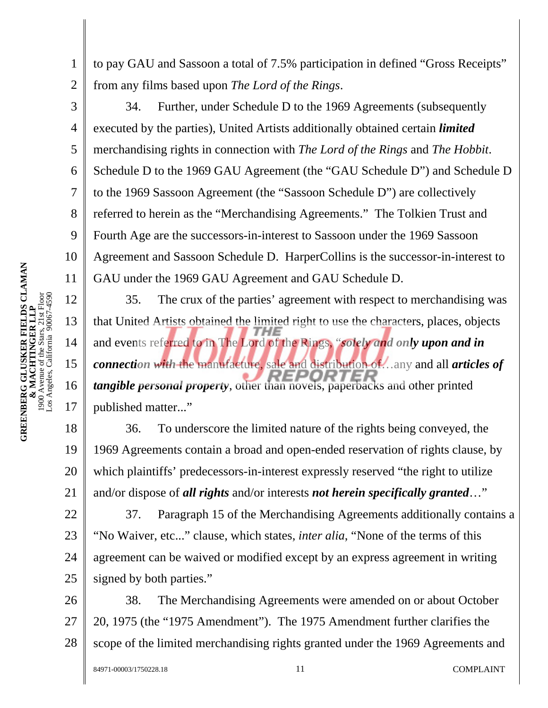2 to pay GAU and Sassoon a total of 7.5% participation in defined "Gross Receipts" from any films based upon *The Lord of the Rings*.

34. Further, under Schedule D to the 1969 Agreements (subsequently executed by the parties), United Artists additionally obtained certain *limited* merchandising rights in connection with *The Lord of the Rings* and *The Hobbit*. Schedule D to the 1969 GAU Agreement (the "GAU Schedule D") and Schedule D to the 1969 Sassoon Agreement (the "Sassoon Schedule D") are collectively referred to herein as the "Merchandising Agreements." The Tolkien Trust and Fourth Age are the successors-in-interest to Sassoon under the 1969 Sassoon Agreement and Sassoon Schedule D. HarperCollins is the successor-in-interest to GAU under the 1969 GAU Agreement and GAU Schedule D.

35. The crux of the parties' agreement with respect to merchandising was that United Artists obtained the limited right to use the characters, places, objects and events referred to in The Lord of the Rings, "*solely and only upon and in connection with* the manufacture, sale and distribution of…any and all *articles of tangible personal property*, other than novels, paperbacks and other printed published matter..."

18 19 20 21 36. To underscore the limited nature of the rights being conveyed, the 1969 Agreements contain a broad and open-ended reservation of rights clause, by which plaintiffs' predecessors-in-interest expressly reserved "the right to utilize and/or dispose of *all rights* and/or interests *not herein specifically granted*…"

22 23 24 25 37. Paragraph 15 of the Merchandising Agreements additionally contains a "No Waiver, etc..." clause, which states, *inter alia*, "None of the terms of this agreement can be waived or modified except by an express agreement in writing signed by both parties."

26 27 28 38. The Merchandising Agreements were amended on or about October 20, 1975 (the "1975 Amendment"). The 1975 Amendment further clarifies the scope of the limited merchandising rights granted under the 1969 Agreements and

1

3

4

5

6

7

8

9

10

11

12

13

14

15

16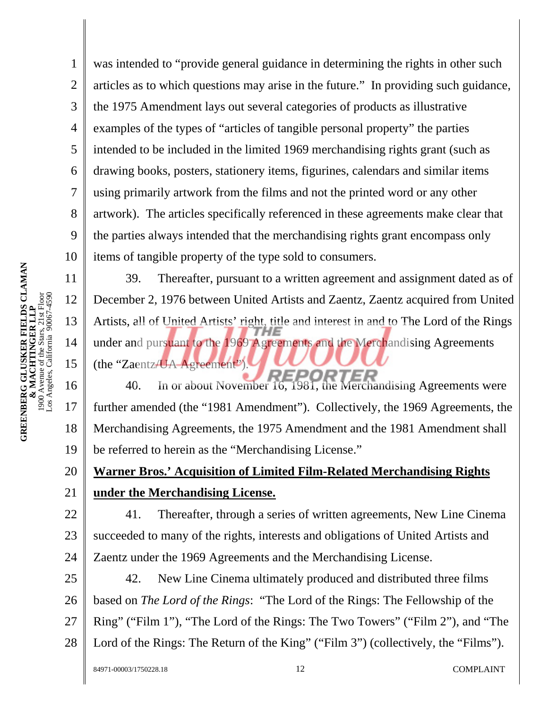4 10 was intended to "provide general guidance in determining the rights in other such articles as to which questions may arise in the future." In providing such guidance, the 1975 Amendment lays out several categories of products as illustrative examples of the types of "articles of tangible personal property" the parties intended to be included in the limited 1969 merchandising rights grant (such as drawing books, posters, stationery items, figurines, calendars and similar items using primarily artwork from the films and not the printed word or any other artwork). The articles specifically referenced in these agreements make clear that the parties always intended that the merchandising rights grant encompass only items of tangible property of the type sold to consumers.

39. Thereafter, pursuant to a written agreement and assignment dated as of December 2, 1976 between United Artists and Zaentz, Zaentz acquired from United Artists, all of United Artists' right, title and interest in and to The Lord of the Rings under and pursuant to the 1969 Agreements and the Merchandising Agreements (the "Zaentz/UA Agreement").

16 17 18 19 40. In or about November 16, 1981, the Merchandising Agreements were further amended (the "1981 Amendment"). Collectively, the 1969 Agreements, the Merchandising Agreements, the 1975 Amendment and the 1981 Amendment shall be referred to herein as the "Merchandising License."

#### 20 21 **Warner Bros.' Acquisition of Limited Film-Related Merchandising Rights under the Merchandising License.**

22 23 24 41. Thereafter, through a series of written agreements, New Line Cinema succeeded to many of the rights, interests and obligations of United Artists and Zaentz under the 1969 Agreements and the Merchandising License.

25 26 27 42. New Line Cinema ultimately produced and distributed three films based on *The Lord of the Rings*: "The Lord of the Rings: The Fellowship of the Ring" ("Film 1"), "The Lord of the Rings: The Two Towers" ("Film 2"), and "The

28 Lord of the Rings: The Return of the King" ("Film 3") (collectively, the "Films").

1

2

3

5

6

7

8

9

11

12

13

14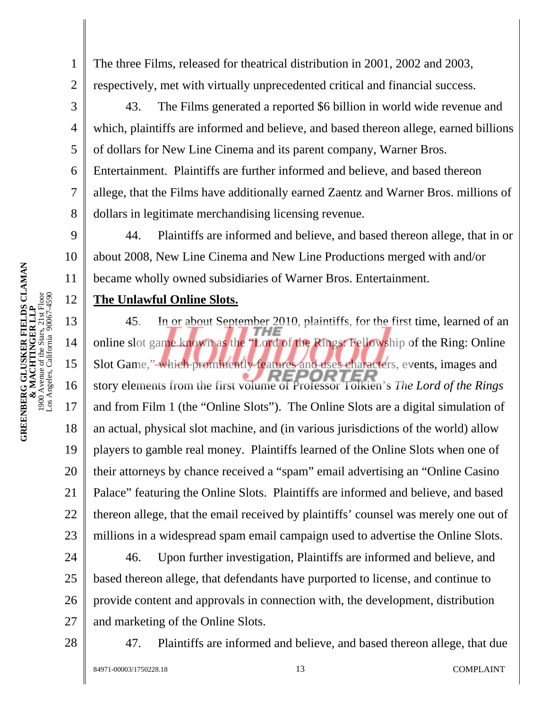1

2

3

4

5

6

7

8

9

10

11

12

13

14

15

16

17

18

19

20

21

22

23

The three Films, released for theatrical distribution in 2001, 2002 and 2003, respectively, met with virtually unprecedented critical and financial success.

43. The Films generated a reported \$6 billion in world wide revenue and which, plaintiffs are informed and believe, and based thereon allege, earned billions of dollars for New Line Cinema and its parent company, Warner Bros.

Entertainment. Plaintiffs are further informed and believe, and based thereon allege, that the Films have additionally earned Zaentz and Warner Bros. millions of

dollars in legitimate merchandising licensing revenue.

44. Plaintiffs are informed and believe, and based thereon allege, that in or about 2008, New Line Cinema and New Line Productions merged with and/or became wholly owned subsidiaries of Warner Bros. Entertainment.

#### **The Unlawful Online Slots.**

45. In or about September 2010, plaintiffs, for the first time, learned of an online slot game known as the "Lord of the Rings: Fellowship of the Ring: Online Slot Game," which prominently features and uses characters, events, images and story elements from the first volume of Professor Tolkien's *The Lord of the Rings* and from Film 1 (the "Online Slots"). The Online Slots are a digital simulation of an actual, physical slot machine, and (in various jurisdictions of the world) allow players to gamble real money. Plaintiffs learned of the Online Slots when one of their attorneys by chance received a "spam" email advertising an "Online Casino Palace" featuring the Online Slots. Plaintiffs are informed and believe, and based thereon allege, that the email received by plaintiffs' counsel was merely one out of millions in a widespread spam email campaign used to advertise the Online Slots.

24 25 26 27 46. Upon further investigation, Plaintiffs are informed and believe, and based thereon allege, that defendants have purported to license, and continue to provide content and approvals in connection with, the development, distribution and marketing of the Online Slots.

28

47. Plaintiffs are informed and believe, and based thereon allege, that due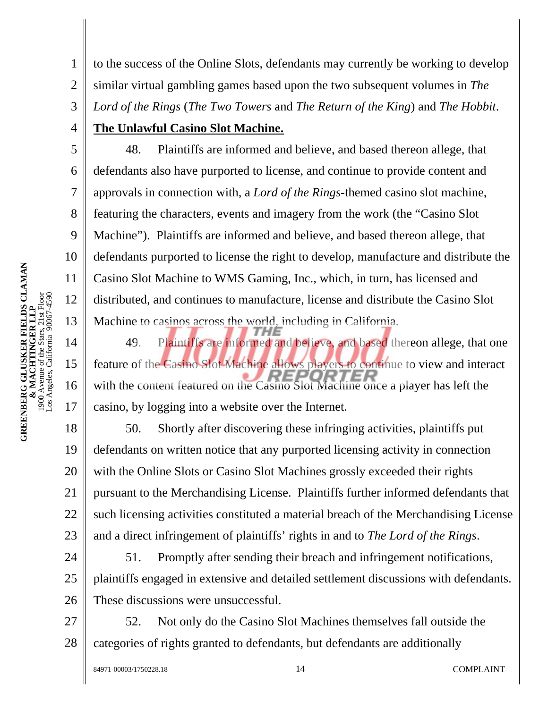1 to the success of the Online Slots, defendants may currently be working to develop

2 similar virtual gambling games based upon the two subsequent volumes in *The* 

3 *Lord of the Rings* (*The Two Towers* and *The Return of the King*) and *The Hobbit*.

## **The Unlawful Casino Slot Machine.**

48. Plaintiffs are informed and believe, and based thereon allege, that defendants also have purported to license, and continue to provide content and approvals in connection with, a *Lord of the Rings-*themed casino slot machine, featuring the characters, events and imagery from the work (the "Casino Slot Machine"). Plaintiffs are informed and believe, and based thereon allege, that defendants purported to license the right to develop, manufacture and distribute the Casino Slot Machine to WMS Gaming, Inc., which, in turn, has licensed and distributed, and continues to manufacture, license and distribute the Casino Slot Machine to casinos across the world, including in California.

49. Plaintiffs are informed and believe, and based thereon allege, that one feature of the Casino Slot Machine allows players to continue to view and interact with the content featured on the Casino Slot Machine once a player has left the casino, by logging into a website over the Internet.

18 19 20 21 22 23 50. Shortly after discovering these infringing activities, plaintiffs put defendants on written notice that any purported licensing activity in connection with the Online Slots or Casino Slot Machines grossly exceeded their rights pursuant to the Merchandising License. Plaintiffs further informed defendants that such licensing activities constituted a material breach of the Merchandising License and a direct infringement of plaintiffs' rights in and to *The Lord of the Rings*.

24 25 26 51. Promptly after sending their breach and infringement notifications, plaintiffs engaged in extensive and detailed settlement discussions with defendants. These discussions were unsuccessful.

27 28 52. Not only do the Casino Slot Machines themselves fall outside the categories of rights granted to defendants, but defendants are additionally

4

5

6

7

8

9

10

11

12

13

14

15

16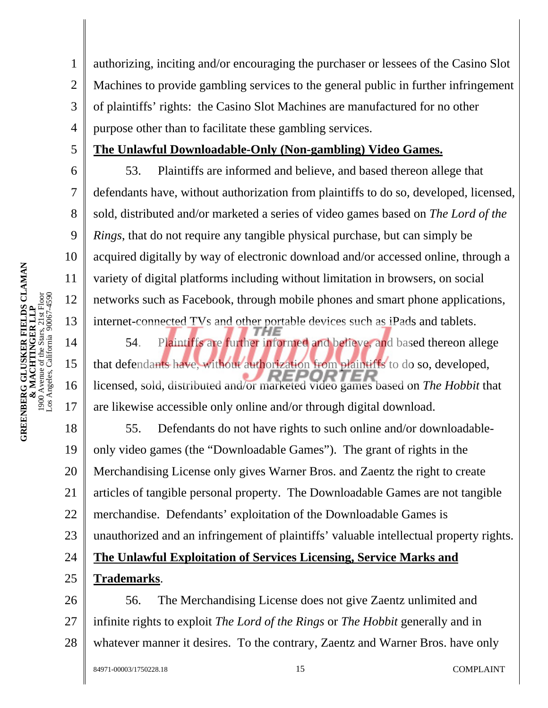1 2 3 4 authorizing, inciting and/or encouraging the purchaser or lessees of the Casino Slot Machines to provide gambling services to the general public in further infringement of plaintiffs' rights: the Casino Slot Machines are manufactured for no other purpose other than to facilitate these gambling services.

5

6

7

8

9

10

11

12

13

14

15

16

17

#### **The Unlawful Downloadable-Only (Non-gambling) Video Games.**

53. Plaintiffs are informed and believe, and based thereon allege that defendants have, without authorization from plaintiffs to do so, developed, licensed, sold, distributed and/or marketed a series of video games based on *The Lord of the Rings*, that do not require any tangible physical purchase, but can simply be acquired digitally by way of electronic download and/or accessed online, through a variety of digital platforms including without limitation in browsers, on social networks such as Facebook, through mobile phones and smart phone applications, internet-connected TVs and other portable devices such as iPads and tablets.

54. Plaintiffs are further informed and believe, and based thereon allege that defendants have, without authorization from plaintiffs to do so, developed, FPNP licensed, sold, distributed and/or marketed video games based on *The Hobbit* that are likewise accessible only online and/or through digital download.

18 19 20 21 22 23 24 25 55. Defendants do not have rights to such online and/or downloadableonly video games (the "Downloadable Games"). The grant of rights in the Merchandising License only gives Warner Bros. and Zaentz the right to create articles of tangible personal property. The Downloadable Games are not tangible merchandise. Defendants' exploitation of the Downloadable Games is unauthorized and an infringement of plaintiffs' valuable intellectual property rights. **The Unlawful Exploitation of Services Licensing, Service Marks and Trademarks**.

26 27 28 56. The Merchandising License does not give Zaentz unlimited and infinite rights to exploit *The Lord of the Rings* or *The Hobbit* generally and in whatever manner it desires. To the contrary, Zaentz and Warner Bros. have only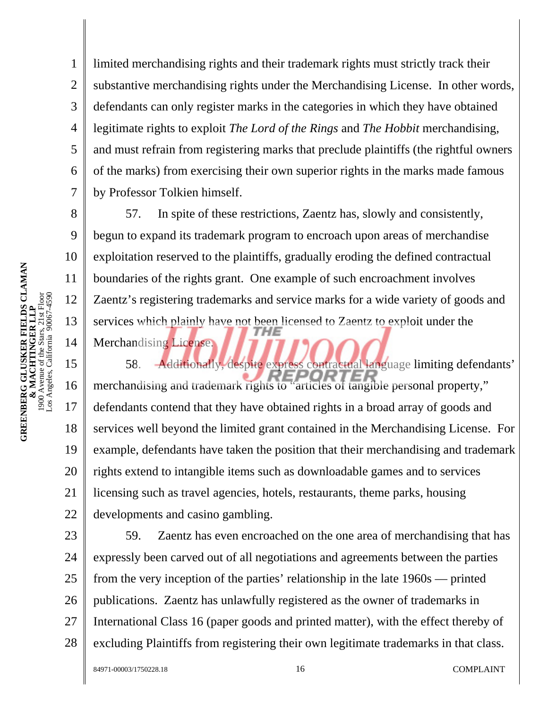2 3 4 5 6 7 8 9 substantive merchandising rights under the Merchandising License. In other words, defendants can only register marks in the categories in which they have obtained legitimate rights to exploit *The Lord of the Rings* and *The Hobbit* merchandising, and must refrain from registering marks that preclude plaintiffs (the rightful owners of the marks) from exercising their own superior rights in the marks made famous by Professor Tolkien himself. 57. In spite of these restrictions, Zaentz has, slowly and consistently,

begun to expand its trademark program to encroach upon areas of merchandise exploitation reserved to the plaintiffs, gradually eroding the defined contractual boundaries of the rights grant. One example of such encroachment involves Zaentz's registering trademarks and service marks for a wide variety of goods and services which plainly have not been licensed to Zaentz to exploit under the

limited merchandising rights and their trademark rights must strictly track their

Merchandising License.

15 16 17 18 19 20 21 22 58. Additionally, despite express contractual language limiting defendants' merchandising and trademark rights to "articles of tangible personal property," defendants contend that they have obtained rights in a broad array of goods and services well beyond the limited grant contained in the Merchandising License. For example, defendants have taken the position that their merchandising and trademark rights extend to intangible items such as downloadable games and to services licensing such as travel agencies, hotels, restaurants, theme parks, housing developments and casino gambling.

23 24 25 26 27 28 59. Zaentz has even encroached on the one area of merchandising that has expressly been carved out of all negotiations and agreements between the parties from the very inception of the parties' relationship in the late 1960s — printed publications. Zaentz has unlawfully registered as the owner of trademarks in International Class 16 (paper goods and printed matter), with the effect thereby of excluding Plaintiffs from registering their own legitimate trademarks in that class.

1

10

11

12

13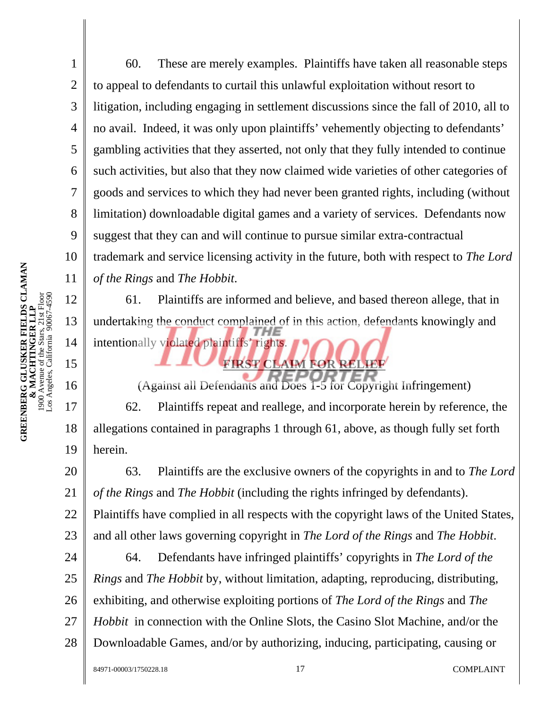1 2 3 4 5 6 7 8 9 10 11 12 13 60. These are merely examples. Plaintiffs have taken all reasonable steps to appeal to defendants to curtail this unlawful exploitation without resort to litigation, including engaging in settlement discussions since the fall of 2010, all to no avail. Indeed, it was only upon plaintiffs' vehemently objecting to defendants' gambling activities that they asserted, not only that they fully intended to continue such activities, but also that they now claimed wide varieties of other categories of goods and services to which they had never been granted rights, including (without limitation) downloadable digital games and a variety of services. Defendants now suggest that they can and will continue to pursue similar extra-contractual trademark and service licensing activity in the future, both with respect to *The Lord of the Rings* and *The Hobbit*. 61. Plaintiffs are informed and believe, and based thereon allege, that in undertaking the conduct complained of in this action, defendants knowingly and

intentionally violated plaintiffs' rights.

(Against all Defendants and Does 1-5 for Copyright Infringement) 62. Plaintiffs repeat and reallege, and incorporate herein by reference, the allegations contained in paragraphs 1 through 61, above, as though fully set forth herein.

**FIRST CLAIM FOR RELIEF** 

20 21 22 23 63. Plaintiffs are the exclusive owners of the copyrights in and to *The Lord of the Rings* and *The Hobbit* (including the rights infringed by defendants). Plaintiffs have complied in all respects with the copyright laws of the United States, and all other laws governing copyright in *The Lord of the Rings* and *The Hobbit*.

24 25 26 27 28 64. Defendants have infringed plaintiffs' copyrights in *The Lord of the Rings* and *The Hobbit* by, without limitation, adapting, reproducing, distributing, exhibiting, and otherwise exploiting portions of *The Lord of the Rings* and *The Hobbit* in connection with the Online Slots, the Casino Slot Machine, and/or the Downloadable Games, and/or by authorizing, inducing, participating, causing or

14

15

16

17

18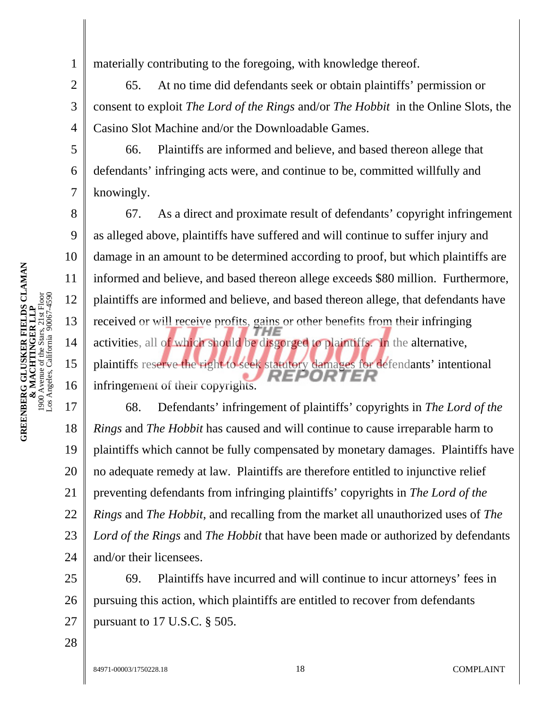materially contributing to the foregoing, with knowledge thereof.

2 3 4 65. At no time did defendants seek or obtain plaintiffs' permission or consent to exploit *The Lord of the Rings* and/or *The Hobbit* in the Online Slots, the Casino Slot Machine and/or the Downloadable Games.

66. Plaintiffs are informed and believe, and based thereon allege that defendants' infringing acts were, and continue to be, committed willfully and knowingly.

67. As a direct and proximate result of defendants' copyright infringement as alleged above, plaintiffs have suffered and will continue to suffer injury and damage in an amount to be determined according to proof, but which plaintiffs are informed and believe, and based thereon allege exceeds \$80 million. Furthermore, plaintiffs are informed and believe, and based thereon allege, that defendants have received or will receive profits, gains or other benefits from their infringing activities, all of which should be disgorged to plaintiffs. In the alternative, plaintiffs reserve the right to seek statutory damages for defendants' intentional infringement of their copyrights.

17 18 19 20 21 22 23 24 68. Defendants' infringement of plaintiffs' copyrights in *The Lord of the Rings* and *The Hobbit* has caused and will continue to cause irreparable harm to plaintiffs which cannot be fully compensated by monetary damages. Plaintiffs have no adequate remedy at law. Plaintiffs are therefore entitled to injunctive relief preventing defendants from infringing plaintiffs' copyrights in *The Lord of the Rings* and *The Hobbit*, and recalling from the market all unauthorized uses of *The Lord of the Rings* and *The Hobbit* that have been made or authorized by defendants and/or their licensees.

25 26 27 69. Plaintiffs have incurred and will continue to incur attorneys' fees in pursuing this action, which plaintiffs are entitled to recover from defendants pursuant to 17 U.S.C. § 505.

1

5

6

7

8

9

10

11

12

13

14

15

16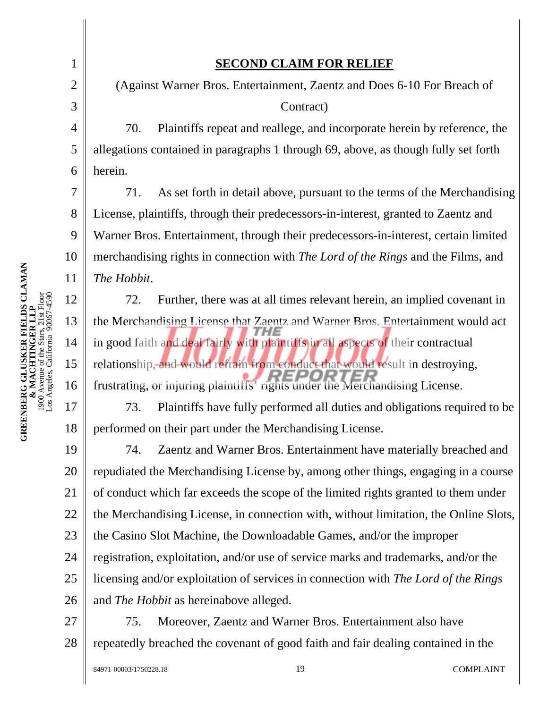1

2

3

4

5

6

7

8

9

10

11

12

13

14

15

16

17

18

## **SECOND CLAIM FOR RELIEF**

(Against Warner Bros. Entertainment, Zaentz and Does 6-10 For Breach of Contract)

70. Plaintiffs repeat and reallege, and incorporate herein by reference, the allegations contained in paragraphs 1 through 69, above, as though fully set forth herein.

71. As set forth in detail above, pursuant to the terms of the Merchandising License, plaintiffs, through their predecessors-in-interest, granted to Zaentz and Warner Bros. Entertainment, through their predecessors-in-interest, certain limited merchandising rights in connection with *The Lord of the Rings* and the Films, and *The Hobbit*.

72. Further, there was at all times relevant herein, an implied covenant in the Merchandising License that Zaentz and Warner Bros. Entertainment would act in good faith and deal fairly with plaintiffs in all aspects of their contractual relationship, and would refrain from conduct that would result in destroying, frustrating, or injuring plaintiffs' rights under the Merchandising License.

73. Plaintiffs have fully performed all duties and obligations required to be performed on their part under the Merchandising License.

19 20 21 22 23 24 25 26 74. Zaentz and Warner Bros. Entertainment have materially breached and repudiated the Merchandising License by, among other things, engaging in a course of conduct which far exceeds the scope of the limited rights granted to them under the Merchandising License, in connection with, without limitation, the Online Slots, the Casino Slot Machine, the Downloadable Games, and/or the improper registration, exploitation, and/or use of service marks and trademarks, and/or the licensing and/or exploitation of services in connection with *The Lord of the Rings* and *The Hobbit* as hereinabove alleged.

27 28 75. Moreover, Zaentz and Warner Bros. Entertainment also have repeatedly breached the covenant of good faith and fair dealing contained in the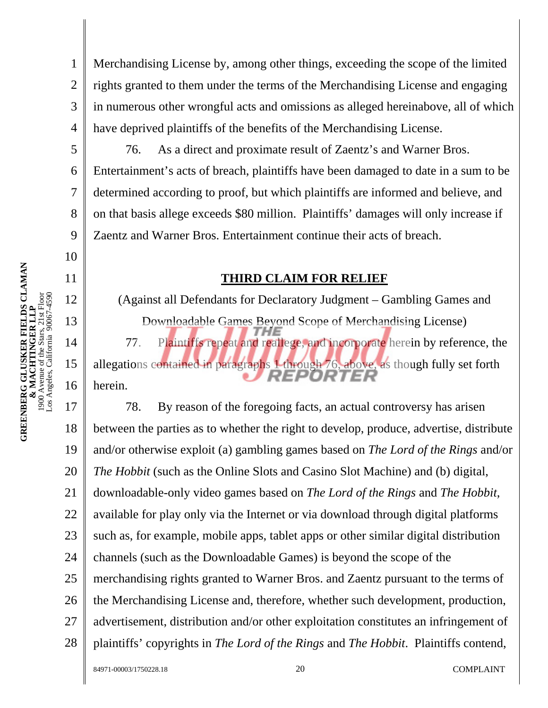Merchandising License by, among other things, exceeding the scope of the limited rights granted to them under the terms of the Merchandising License and engaging in numerous other wrongful acts and omissions as alleged hereinabove, all of which have deprived plaintiffs of the benefits of the Merchandising License.

76. As a direct and proximate result of Zaentz's and Warner Bros. Entertainment's acts of breach, plaintiffs have been damaged to date in a sum to be determined according to proof, but which plaintiffs are informed and believe, and on that basis allege exceeds \$80 million. Plaintiffs' damages will only increase if Zaentz and Warner Bros. Entertainment continue their acts of breach.

#### **THIRD CLAIM FOR RELIEF**

(Against all Defendants for Declaratory Judgment – Gambling Games and Downloadable Games Beyond Scope of Merchandising License) 77. Plaintiffs repeat and reallege, and incorporate herein by reference, the allegations contained in paragraphs 1 through 76, above, as though fully set forth

REPORTER

herein.

1

2

3

4

5

6

7

8

9

10

11

12

13

14

15

16

17 18 19 20 21 22 23 24 25 26 27 28 78. By reason of the foregoing facts, an actual controversy has arisen between the parties as to whether the right to develop, produce, advertise, distribute and/or otherwise exploit (a) gambling games based on *The Lord of the Rings* and/or *The Hobbit* (such as the Online Slots and Casino Slot Machine) and (b) digital, downloadable-only video games based on *The Lord of the Rings* and *The Hobbit*, available for play only via the Internet or via download through digital platforms such as, for example, mobile apps, tablet apps or other similar digital distribution channels (such as the Downloadable Games) is beyond the scope of the merchandising rights granted to Warner Bros. and Zaentz pursuant to the terms of the Merchandising License and, therefore, whether such development, production, advertisement, distribution and/or other exploitation constitutes an infringement of plaintiffs' copyrights in *The Lord of the Rings* and *The Hobbit*. Plaintiffs contend,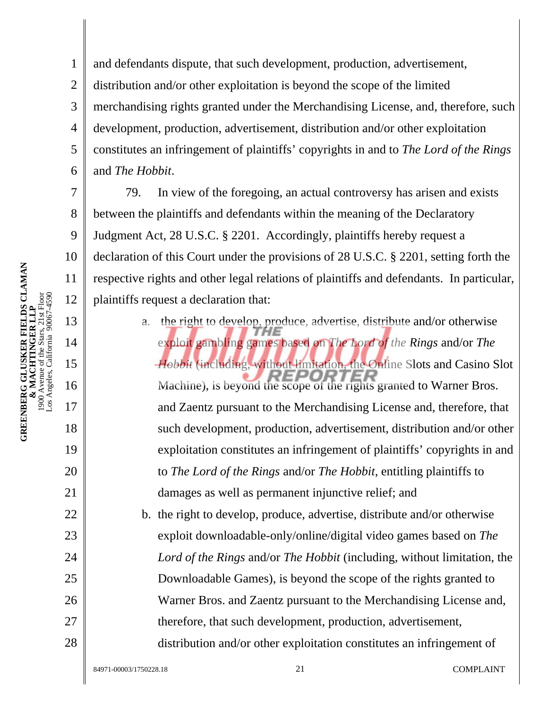7

8

9

10

11

12

13

14

15

16

17

18

19

20

21

22

23

24

25

26

27

28

1 2 3 4 5 6 and defendants dispute, that such development, production, advertisement, distribution and/or other exploitation is beyond the scope of the limited merchandising rights granted under the Merchandising License, and, therefore, such development, production, advertisement, distribution and/or other exploitation constitutes an infringement of plaintiffs' copyrights in and to *The Lord of the Rings* and *The Hobbit*.

79. In view of the foregoing, an actual controversy has arisen and exists between the plaintiffs and defendants within the meaning of the Declaratory Judgment Act, 28 U.S.C. § 2201. Accordingly, plaintiffs hereby request a declaration of this Court under the provisions of 28 U.S.C. § 2201, setting forth the respective rights and other legal relations of plaintiffs and defendants. In particular, plaintiffs request a declaration that:

> a. the right to develop, produce, advertise, distribute and/or otherwise exploit gambling games based on *The Lord of the Rings* and/or *The Hobbit* (including, without limitation, the Online Slots and Casino Slot Machine), is beyond the scope of the rights granted to Warner Bros. and Zaentz pursuant to the Merchandising License and, therefore, that such development, production, advertisement, distribution and/or other exploitation constitutes an infringement of plaintiffs' copyrights in and to *The Lord of the Rings* and/or *The Hobbit*, entitling plaintiffs to damages as well as permanent injunctive relief; and

b. the right to develop, produce, advertise, distribute and/or otherwise exploit downloadable-only/online/digital video games based on *The Lord of the Rings* and/or *The Hobbit* (including, without limitation, the Downloadable Games), is beyond the scope of the rights granted to Warner Bros. and Zaentz pursuant to the Merchandising License and, therefore, that such development, production, advertisement, distribution and/or other exploitation constitutes an infringement of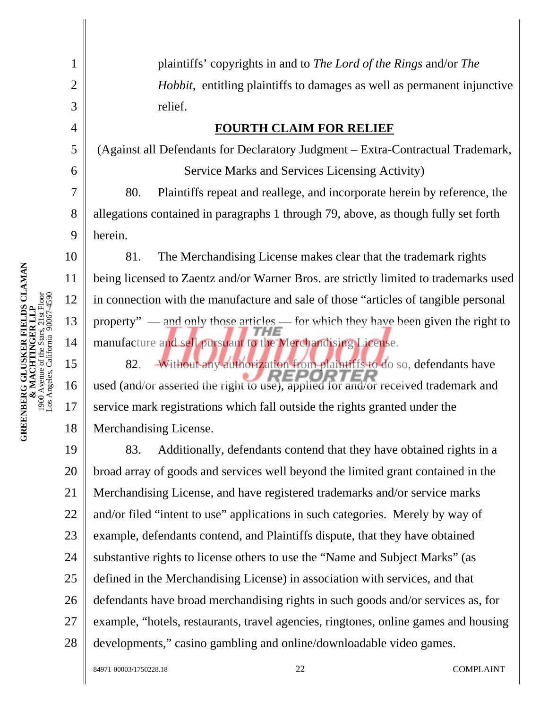|                                                                                                | 5  | (Against all Defendants for Declaratory Judgment - Extra-Contractual Trademark,      |  |  |  |  |
|------------------------------------------------------------------------------------------------|----|--------------------------------------------------------------------------------------|--|--|--|--|
|                                                                                                | 6  | Service Marks and Services Licensing Activity)                                       |  |  |  |  |
|                                                                                                | 7  | Plaintiffs repeat and reallege, and incorporate herein by reference, the<br>80.      |  |  |  |  |
|                                                                                                | 8  | allegations contained in paragraphs 1 through 79, above, as though fully set forth   |  |  |  |  |
|                                                                                                | 9  | herein.                                                                              |  |  |  |  |
|                                                                                                | 10 | The Merchandising License makes clear that the trademark rights<br>81.               |  |  |  |  |
|                                                                                                | 11 | being licensed to Zaentz and/or Warner Bros. are strictly limited to trademarks used |  |  |  |  |
|                                                                                                | 12 | in connection with the manufacture and sale of those "articles of tangible personal  |  |  |  |  |
| & MACHTINGER LLP<br>1900 Avenue of the Stars, 21st Floor<br>Los Angeles, California 90067-4590 | 13 | property" — and only those articles — for which they have been given the right to    |  |  |  |  |
|                                                                                                | 14 | manufacture and sell pursuant to the Merchandising License.                          |  |  |  |  |
|                                                                                                | 15 | Without any authorization from plaintiffs to do so, defendants have<br>82.           |  |  |  |  |
|                                                                                                | 16 | used (and/or asserted the right to use), applied for and/or received trademark and   |  |  |  |  |
|                                                                                                | 17 | service mark registrations which fall outside the rights granted under the           |  |  |  |  |
|                                                                                                | 18 | Merchandising License.                                                               |  |  |  |  |
|                                                                                                | 19 | Additionally, defendants contend that they have obtained rights in a<br>83.          |  |  |  |  |
|                                                                                                | 20 | broad array of goods and services well beyond the limited grant contained in the     |  |  |  |  |
|                                                                                                | 21 | Merchandising License, and have registered trademarks and/or service marks           |  |  |  |  |
|                                                                                                | 22 | and/or filed "intent to use" applications in such categories. Merely by way of       |  |  |  |  |
|                                                                                                | 23 | example, defendants contend, and Plaintiffs dispute, that they have obtained         |  |  |  |  |
|                                                                                                | 24 | substantive rights to license others to use the "Name and Subject Marks" (as         |  |  |  |  |
|                                                                                                | 25 | defined in the Merchandising License) in association with services, and that         |  |  |  |  |
|                                                                                                |    |                                                                                      |  |  |  |  |

26 defendants have broad merchandising rights in such goods and/or services as, for

plaintiffs' copyrights in and to *The Lord of the Rings* and/or *The* 

**FOURTH CLAIM FOR RELIEF** 

*Hobbit*, entitling plaintiffs to damages as well as permanent injunctive

27 example, "hotels, restaurants, travel agencies, ringtones, online games and housing

28 developments," casino gambling and online/downloadable video games.

1

2

3

relief.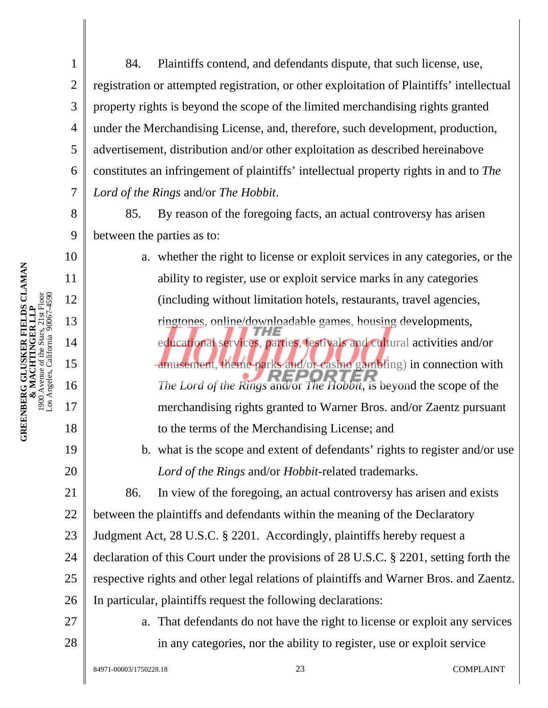84. Plaintiffs contend, and defendants dispute, that such license, use, registration or attempted registration, or other exploitation of Plaintiffs' intellectual property rights is beyond the scope of the limited merchandising rights granted under the Merchandising License, and, therefore, such development, production, advertisement, distribution and/or other exploitation as described hereinabove constitutes an infringement of plaintiffs' intellectual property rights in and to *The Lord of the Rings* and/or *The Hobbit*.

85. By reason of the foregoing facts, an actual controversy has arisen between the parties as to:

a. whether the right to license or exploit services in any categories, or the ability to register, use or exploit service marks in any categories (including without limitation hotels, restaurants, travel agencies, ringtones, online/downloadable games, housing developments, educational services, parties, festivals and cultural activities and/or amusement, theme parks and/or casino gambling) in connection with *The Lord of the Rings* and/or *The Hobbit*, is beyond the scope of the merchandising rights granted to Warner Bros. and/or Zaentz pursuant to the terms of the Merchandising License; and b. what is the scope and extent of defendants' rights to register and/or use *Lord of the Rings* and/or *Hobbit*-related trademarks. 86. In view of the foregoing, an actual controversy has arisen and exists between the plaintiffs and defendants within the meaning of the Declaratory Judgment Act, 28 U.S.C. § 2201. Accordingly, plaintiffs hereby request a

24 25 26 declaration of this Court under the provisions of 28 U.S.C. § 2201, setting forth the respective rights and other legal relations of plaintiffs and Warner Bros. and Zaentz. In particular, plaintiffs request the following declarations:

27

28

**GREENBERG GLUSKER FIELDS CLAMAN & MACHTINGER LLP**  1900 Avenue of the Stars, 21st Floor Los Angeles, California 90067-4590

**GREENBERG GLUSKER FIELDS CLAMAN**<br>**& MACHTINGER LLP**<br>1900 Avenue of the Stars, 21st Floor<br>Los Angeles, California 90067-4590

1

2

3

4

5

6

7

8

9

10

11

12

13

14

15

16

17

18

19

20

21

22

23

a. That defendants do not have the right to license or exploit any services in any categories, nor the ability to register, use or exploit service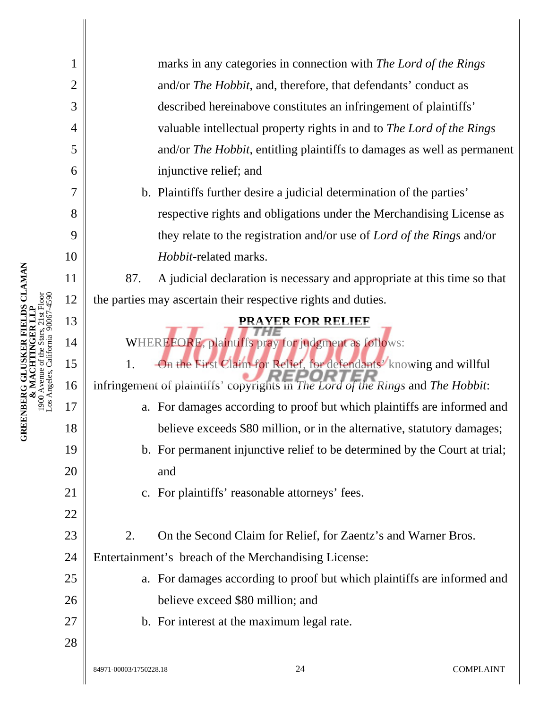| 1              | marks in any categories in connection with The Lord of the Rings                |  |  |  |  |  |
|----------------|---------------------------------------------------------------------------------|--|--|--|--|--|
| $\overline{2}$ | and/or The Hobbit, and, therefore, that defendants' conduct as                  |  |  |  |  |  |
| 3              | described hereinabove constitutes an infringement of plaintiffs'                |  |  |  |  |  |
| $\overline{4}$ | valuable intellectual property rights in and to The Lord of the Rings           |  |  |  |  |  |
| 5              | and/or The Hobbit, entitling plaintiffs to damages as well as permanent         |  |  |  |  |  |
| 6              | injunctive relief; and                                                          |  |  |  |  |  |
| 7              | b. Plaintiffs further desire a judicial determination of the parties'           |  |  |  |  |  |
| 8              | respective rights and obligations under the Merchandising License as            |  |  |  |  |  |
| 9              | they relate to the registration and/or use of <i>Lord of the Rings</i> and/or   |  |  |  |  |  |
| 10             | Hobbit-related marks.                                                           |  |  |  |  |  |
| 11             | A judicial declaration is necessary and appropriate at this time so that<br>87. |  |  |  |  |  |
| 12             | the parties may ascertain their respective rights and duties.                   |  |  |  |  |  |
| 13             | <b>PRAYER FOR RELIEF</b>                                                        |  |  |  |  |  |
| 14             | WHEREFORE, plaintiffs pray for judgment as follows:                             |  |  |  |  |  |
| 15             | On the First Claim for Relief, for defendants' knowing and willful<br>1.        |  |  |  |  |  |
| 16             | infringement of plaintiffs' copyrights in The Lord of the Rings and The Hobbit: |  |  |  |  |  |
| 17             | a. For damages according to proof but which plaintiffs are informed and         |  |  |  |  |  |
| 18             | believe exceeds \$80 million, or in the alternative, statutory damages;         |  |  |  |  |  |
| 19             | b. For permanent injunctive relief to be determined by the Court at trial;      |  |  |  |  |  |
| 20             | and                                                                             |  |  |  |  |  |
| 21             | c. For plaintiffs' reasonable attorneys' fees.                                  |  |  |  |  |  |
| 22             |                                                                                 |  |  |  |  |  |
| 23             | On the Second Claim for Relief, for Zaentz's and Warner Bros.<br>2.             |  |  |  |  |  |
| 24             | Entertainment's breach of the Merchandising License:                            |  |  |  |  |  |
| 25             | a. For damages according to proof but which plaintiffs are informed and         |  |  |  |  |  |
| 26             | believe exceed \$80 million; and                                                |  |  |  |  |  |
| 27             | b. For interest at the maximum legal rate.                                      |  |  |  |  |  |
| 28             |                                                                                 |  |  |  |  |  |
|                | <b>COMPLAINT</b><br>24<br>84971-00003/1750228.18                                |  |  |  |  |  |

II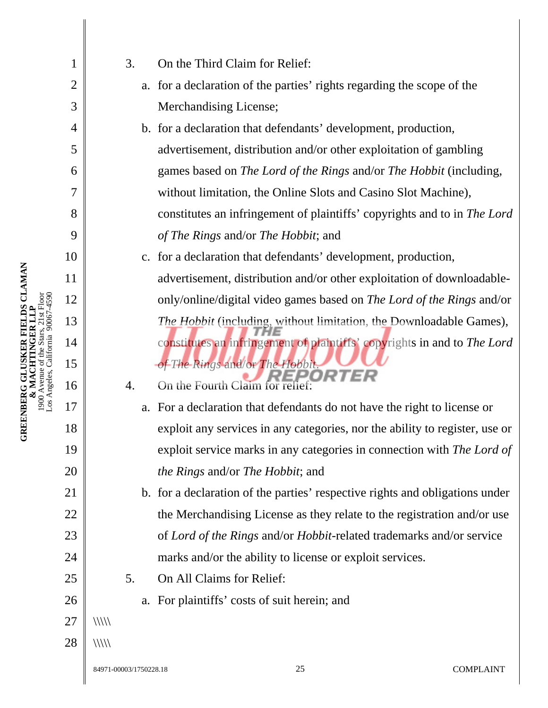| 1<br>$\overline{2}$<br>3<br>$\overline{4}$<br>5<br>6<br>7<br>8<br>9<br>11 |    |               | 3.                                                                     | On the Third Claim for Relief:                                               |
|---------------------------------------------------------------------------|----|---------------|------------------------------------------------------------------------|------------------------------------------------------------------------------|
|                                                                           |    |               |                                                                        | a. for a declaration of the parties' rights regarding the scope of the       |
|                                                                           |    |               |                                                                        | Merchandising License;                                                       |
|                                                                           |    |               |                                                                        | b. for a declaration that defendants' development, production,               |
|                                                                           |    |               |                                                                        | advertisement, distribution and/or other exploitation of gambling            |
|                                                                           |    |               |                                                                        | games based on The Lord of the Rings and/or The Hobbit (including,           |
|                                                                           |    |               |                                                                        | without limitation, the Online Slots and Casino Slot Machine),               |
|                                                                           |    |               |                                                                        | constitutes an infringement of plaintiffs' copyrights and to in The Lord     |
|                                                                           |    |               |                                                                        | of The Rings and/or The Hobbit; and                                          |
|                                                                           | 10 |               |                                                                        | c. for a declaration that defendants' development, production,               |
|                                                                           |    |               | advertisement, distribution and/or other exploitation of downloadable- |                                                                              |
|                                                                           | 12 |               | only/online/digital video games based on The Lord of the Rings and/or  |                                                                              |
|                                                                           | 13 |               |                                                                        | The Hobbit (including, without limitation, the Downloadable Games),          |
|                                                                           | 14 |               |                                                                        | constitutes an infringement of plaintiffs' copyrights in and to The Lord     |
|                                                                           | 15 |               |                                                                        | of The Rings and/or The Hobbit.                                              |
|                                                                           | 16 |               | 4.                                                                     | On the Fourth Claim for relief:                                              |
|                                                                           | 17 |               |                                                                        | a. For a declaration that defendants do not have the right to license or     |
|                                                                           | 18 |               |                                                                        | exploit any services in any categories, nor the ability to register, use or  |
|                                                                           | 19 |               |                                                                        | exploit service marks in any categories in connection with The Lord of       |
|                                                                           | 20 |               |                                                                        | <i>the Rings and/or The Hobbit; and</i>                                      |
| 21                                                                        |    |               |                                                                        | b. for a declaration of the parties' respective rights and obligations under |
|                                                                           | 22 |               |                                                                        | the Merchandising License as they relate to the registration and/or use      |
|                                                                           | 23 |               |                                                                        | of Lord of the Rings and/or Hobbit-related trademarks and/or service         |
|                                                                           | 24 |               |                                                                        | marks and/or the ability to license or exploit services.                     |
|                                                                           | 25 |               | 5.                                                                     | On All Claims for Relief:                                                    |
|                                                                           | 26 |               |                                                                        | a. For plaintiffs' costs of suit herein; and                                 |
|                                                                           | 27 | $\frac{1}{1}$ |                                                                        |                                                                              |
|                                                                           | 28 | $\frac{1}{1}$ |                                                                        |                                                                              |
|                                                                           |    |               |                                                                        |                                                                              |

**GREENBERG GLUSKER FIELDS CLAMAN**<br>& MACHTINGER LLP<br>1900 Avenue of the Stars, 21st Floor<br>Los Angeles, California 90067-4590 **GREENBERG GLUSKER FIELDS CLAMAN**  1900 Avenue of the Stars, 21st Floor Los Angeles, California 90067-4590 **& MACHTINGER LLP**